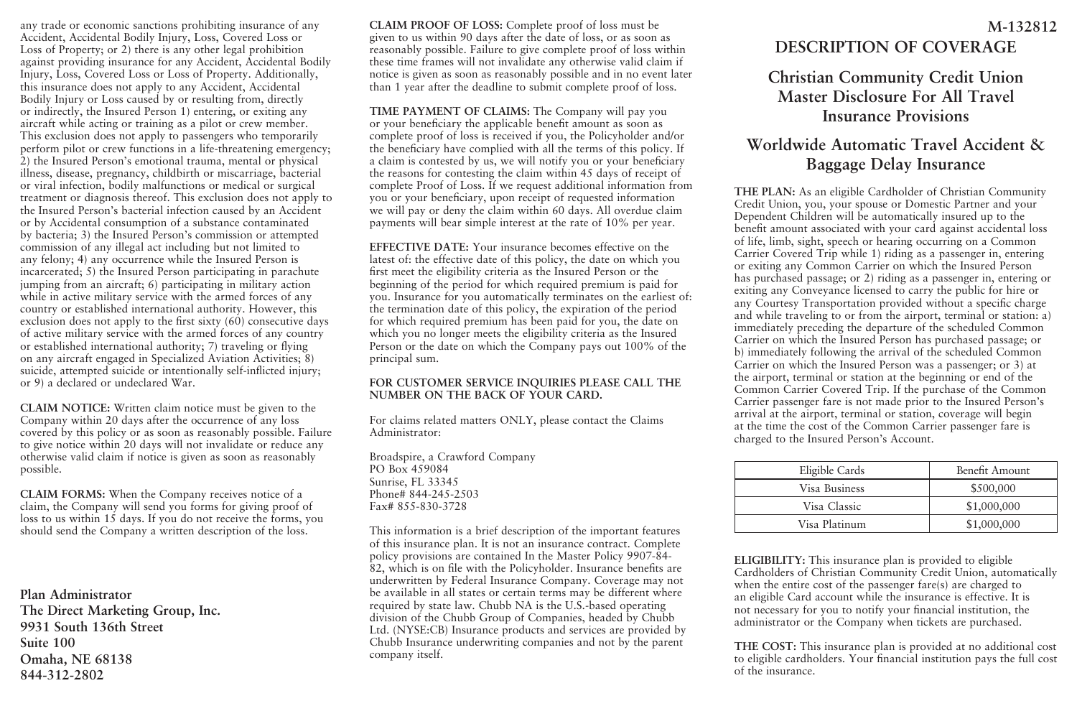any trade or economic sanctions prohibiting insurance of any Accident, Accidental Bodily Injury, Loss, Covered Loss or Loss of Property; or 2) there is any other legal prohibition against providing insurance for any Accident, Accidental Bodily Injury, Loss, Covered Loss or Loss of Property. Additionally, this insurance does not apply to any Accident, Accidental Bodily Injury or Loss caused by or resulting from, directly or indirectly, the Insured Person 1) entering, or exiting any aircraft while acting or training as a pilot or crew member. This exclusion does not apply to passengers who temporarily perform pilot or crew functions in a life-threatening emergency; 2) the Insured Person's emotional trauma, mental or physical illness, disease, pregnancy, childbirth or miscarriage, bacterial or viral infection, bodily malfunctions or medical or surgical treatment or diagnosis thereof. This exclusion does not apply to the Insured Person's bacterial infection caused by an Accident or by Accidental consumption of a substance contaminated by bacteria; 3) the Insured Person's commission or attempted commission of any illegal act including but not limited to any felony; 4) any occurrence while the Insured Person is incarcerated; 5) the Insured Person participating in parachute jumping from an aircraft; 6) participating in military action while in active military service with the armed forces of any country or established international authority. However, this exclusion does not apply to the first sixty (60) consecutive days of active military service with the armed forces of any country or established international authority; 7) traveling or flying on any aircraft engaged in Specialized Aviation Activities; 8) suicide, attempted suicide or intentionally self-inflicted injury; or 9) a declared or undeclared War.

**CLAIM NOTICE:** Written claim notice must be given to the Company within 20 days after the occurrence of any loss covered by this policy or as soon as reasonably possible. Failure to give notice within 20 days will not invalidate or reduce any otherwise valid claim if notice is given as soon as reasonably possible.

**CLAIM FORMS:** When the Company receives notice of a claim, the Company will send you forms for giving proof of loss to us within 15 days. If you do not receive the forms, you should send the Company a written description of the loss.

**Plan Administrator The Direct Marketing Group, Inc. 9931 South 136th Street Suite 100 Omaha, NE 68138 844-312-2802**

**CLAIM PROOF OF LOSS:** Complete proof of loss must be given to us within 90 days after the date of loss, or as soon as reasonably possible. Failure to give complete proof of loss within these time frames will not invalidate any otherwise valid claim if notice is given as soon as reasonably possible and in no event later than 1 year after the deadline to submit complete proof of loss.

**TIME PAYMENT OF CLAIMS:** The Company will pay you or your beneficiary the applicable benefit amount as soon as complete proof of loss is received if you, the Policyholder and/or the beneficiary have complied with all the terms of this policy. If a claim is contested by us, we will notify you or your beneficiary the reasons for contesting the claim within 45 days of receipt of complete Proof of Loss. If we request additional information from you or your beneficiary, upon receipt of requested information we will pay or deny the claim within 60 days. All overdue claim payments will bear simple interest at the rate of 10% per year.

**EFFECTIVE DATE:** Your insurance becomes effective on the latest of: the effective date of this policy, the date on which you first meet the eligibility criteria as the Insured Person or the beginning of the period for which required premium is paid for you. Insurance for you automatically terminates on the earliest of: the termination date of this policy, the expiration of the period for which required premium has been paid for you, the date on which you no longer meets the eligibility criteria as the Insured Person or the date on which the Company pays out 100% of the principal sum.

#### **FOR CUSTOMER SERVICE INQUIRIES PLEASE CALL THE NUMBER ON THE BACK OF YOUR CARD.**

For claims related matters ONLY, please contact the Claims Administrator:

Broadspire, a Crawford Company PO Box 459084 Sunrise, FL 33345 Phone# 844-245-2503 Fax# 855-830-3728

This information is a brief description of the important features of this insurance plan. It is not an insurance contract. Complete policy provisions are contained In the Master Policy 9907-84- 82, which is on file with the Policyholder. Insurance benefits are underwritten by Federal Insurance Company. Coverage may not be available in all states or certain terms may be different where required by state law. Chubb NA is the U.S.-based operating division of the Chubb Group of Companies, headed by Chubb Ltd. (NYSE:CB) Insurance products and services are provided by Chubb Insurance underwriting companies and not by the parent company itself.

# **DESCRIPTION OF COVERAGE M-132812**

## **Christian Community Credit Union Master Disclosure For All Travel Insurance Provisions**

# **Worldwide Automatic Travel Accident & Baggage Delay Insurance**

**THE PLAN:** As an eligible Cardholder of Christian Community Credit Union, you, your spouse or Domestic Partner and your Dependent Children will be automatically insured up to the benefit amount associated with your card against accidental loss of life, limb, sight, speech or hearing occurring on a Common Carrier Covered Trip while 1) riding as a passenger in, entering or exiting any Common Carrier on which the Insured Person has purchased passage; or 2) riding as a passenger in, entering or exiting any Conveyance licensed to carry the public for hire or any Courtesy Transportation provided without a specific charge and while traveling to or from the airport, terminal or station: a) immediately preceding the departure of the scheduled Common Carrier on which the Insured Person has purchased passage; or b) immediately following the arrival of the scheduled Common Carrier on which the Insured Person was a passenger; or 3) at the airport, terminal or station at the beginning or end of the Common Carrier Covered Trip. If the purchase of the Common Carrier passenger fare is not made prior to the Insured Person's arrival at the airport, terminal or station, coverage will begin at the time the cost of the Common Carrier passenger fare is charged to the Insured Person's Account.

| Eligible Cards | Benefit Amount |
|----------------|----------------|
| Visa Business  | \$500,000      |
| Visa Classic   | \$1,000,000    |
| Visa Platinum  | \$1,000,000    |

**ELIGIBILITY:** This insurance plan is provided to eligible Cardholders of Christian Community Credit Union, automatically when the entire cost of the passenger fare(s) are charged to an eligible Card account while the insurance is effective. It is not necessary for you to notify your financial institution, the administrator or the Company when tickets are purchased.

**THE COST:** This insurance plan is provided at no additional cost to eligible cardholders. Your financial institution pays the full cost of the insurance.